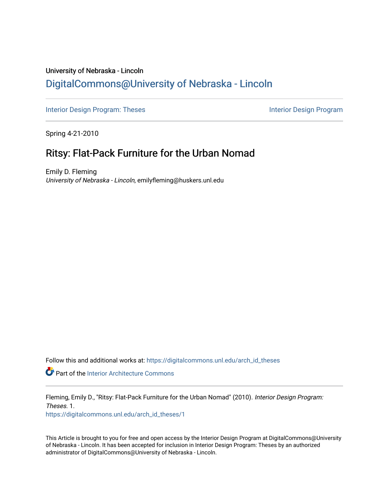# University of Nebraska - Lincoln [DigitalCommons@University of Nebraska - Lincoln](https://digitalcommons.unl.edu/)

[Interior Design Program: Theses](https://digitalcommons.unl.edu/arch_id_theses) Interior Design Program

Spring 4-21-2010

# Ritsy: Flat-Pack Furniture for the Urban Nomad

Emily D. Fleming University of Nebraska - Lincoln, emilyfleming@huskers.unl.edu

Follow this and additional works at: [https://digitalcommons.unl.edu/arch\\_id\\_theses](https://digitalcommons.unl.edu/arch_id_theses?utm_source=digitalcommons.unl.edu%2Farch_id_theses%2F1&utm_medium=PDF&utm_campaign=PDFCoverPages) 

Part of the [Interior Architecture Commons](http://network.bepress.com/hgg/discipline/778?utm_source=digitalcommons.unl.edu%2Farch_id_theses%2F1&utm_medium=PDF&utm_campaign=PDFCoverPages)

Fleming, Emily D., "Ritsy: Flat-Pack Furniture for the Urban Nomad" (2010). Interior Design Program: Theses. 1.

[https://digitalcommons.unl.edu/arch\\_id\\_theses/1](https://digitalcommons.unl.edu/arch_id_theses/1?utm_source=digitalcommons.unl.edu%2Farch_id_theses%2F1&utm_medium=PDF&utm_campaign=PDFCoverPages) 

This Article is brought to you for free and open access by the Interior Design Program at DigitalCommons@University of Nebraska - Lincoln. It has been accepted for inclusion in Interior Design Program: Theses by an authorized administrator of DigitalCommons@University of Nebraska - Lincoln.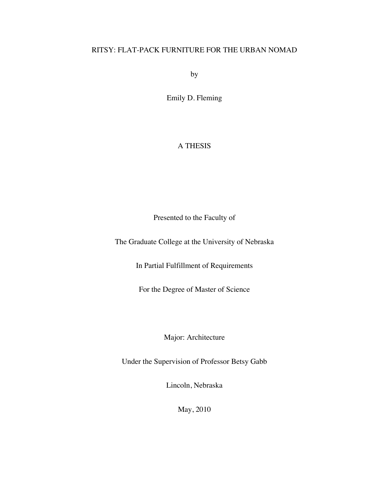# RITSY: FLAT-PACK FURNITURE FOR THE URBAN NOMAD

by

Emily D. Fleming

# A THESIS

Presented to the Faculty of

The Graduate College at the University of Nebraska

In Partial Fulfillment of Requirements

For the Degree of Master of Science

Major: Architecture

Under the Supervision of Professor Betsy Gabb

Lincoln, Nebraska

May, 2010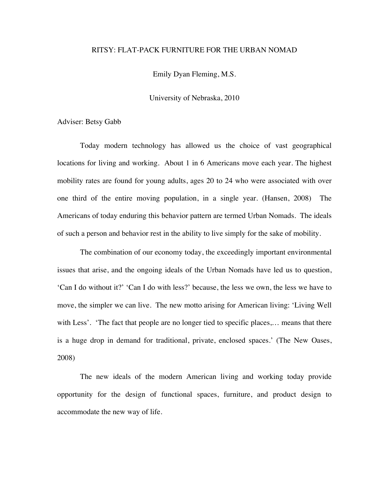### RITSY: FLAT-PACK FURNITURE FOR THE URBAN NOMAD

Emily Dyan Fleming, M.S.

University of Nebraska, 2010

Adviser: Betsy Gabb

Today modern technology has allowed us the choice of vast geographical locations for living and working. About 1 in 6 Americans move each year. The highest mobility rates are found for young adults, ages 20 to 24 who were associated with over one third of the entire moving population, in a single year. (Hansen, 2008) The Americans of today enduring this behavior pattern are termed Urban Nomads. The ideals of such a person and behavior rest in the ability to live simply for the sake of mobility.

The combination of our economy today, the exceedingly important environmental issues that arise, and the ongoing ideals of the Urban Nomads have led us to question, 'Can I do without it?' 'Can I do with less?' because, the less we own, the less we have to move, the simpler we can live. The new motto arising for American living: 'Living Well with Less'. 'The fact that people are no longer tied to specific places,… means that there is a huge drop in demand for traditional, private, enclosed spaces.' (The New Oases, 2008)

The new ideals of the modern American living and working today provide opportunity for the design of functional spaces, furniture, and product design to accommodate the new way of life.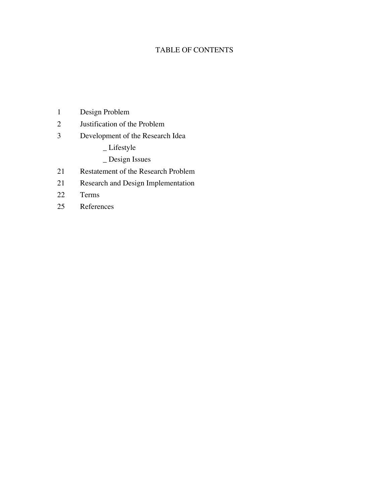# TABLE OF CONTENTS

- Design Problem
- Justification of the Problem
- Development of the Research Idea
	- \_ Lifestyle
	- \_ Design Issues
- Restatement of the Research Problem
- Research and Design Implementation
- Terms
- References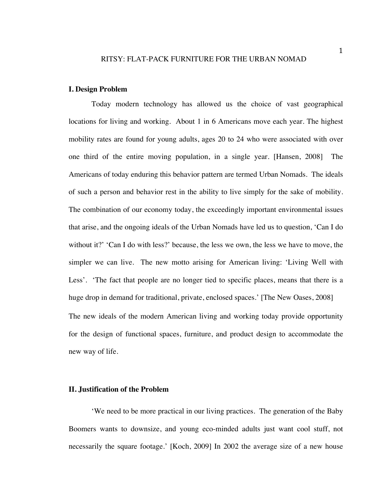#### **I. Design Problem**

Today modern technology has allowed us the choice of vast geographical locations for living and working. About 1 in 6 Americans move each year. The highest mobility rates are found for young adults, ages 20 to 24 who were associated with over one third of the entire moving population, in a single year. [Hansen, 2008] The Americans of today enduring this behavior pattern are termed Urban Nomads. The ideals of such a person and behavior rest in the ability to live simply for the sake of mobility. The combination of our economy today, the exceedingly important environmental issues that arise, and the ongoing ideals of the Urban Nomads have led us to question, 'Can I do without it?' 'Can I do with less?' because, the less we own, the less we have to move, the simpler we can live. The new motto arising for American living: 'Living Well with Less'. 'The fact that people are no longer tied to specific places, means that there is a huge drop in demand for traditional, private, enclosed spaces.' [The New Oases, 2008] The new ideals of the modern American living and working today provide opportunity for the design of functional spaces, furniture, and product design to accommodate the new way of life.

## **II. Justification of the Problem**

'We need to be more practical in our living practices. The generation of the Baby Boomers wants to downsize, and young eco-minded adults just want cool stuff, not necessarily the square footage.' [Koch, 2009] In 2002 the average size of a new house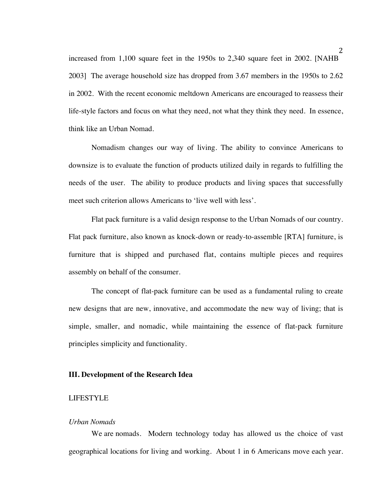increased from 1,100 square feet in the 1950s to 2,340 square feet in 2002. [NAHB 2003] The average household size has dropped from 3.67 members in the 1950s to 2.62 in 2002. With the recent economic meltdown Americans are encouraged to reassess their life-style factors and focus on what they need, not what they think they need. In essence, think like an Urban Nomad.

Nomadism changes our way of living. The ability to convince Americans to downsize is to evaluate the function of products utilized daily in regards to fulfilling the needs of the user. The ability to produce products and living spaces that successfully meet such criterion allows Americans to 'live well with less'.

Flat pack furniture is a valid design response to the Urban Nomads of our country. Flat pack furniture, also known as knock-down or ready-to-assemble [RTA] furniture, is furniture that is shipped and purchased flat, contains multiple pieces and requires assembly on behalf of the consumer.

The concept of flat-pack furniture can be used as a fundamental ruling to create new designs that are new, innovative, and accommodate the new way of living; that is simple, smaller, and nomadic, while maintaining the essence of flat-pack furniture principles simplicity and functionality.

#### **III. Development of the Research Idea**

#### LIFESTYLE

#### *Urban Nomads*

We are nomads. Modern technology today has allowed us the choice of vast geographical locations for living and working. About 1 in 6 Americans move each year.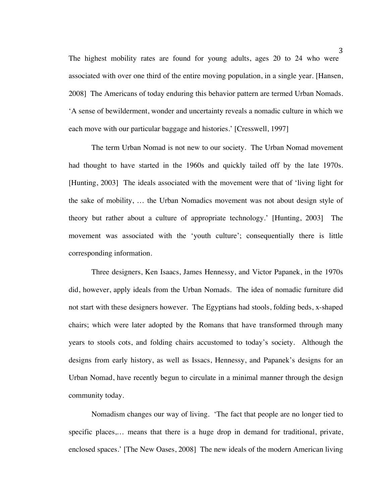The highest mobility rates are found for young adults, ages 20 to 24 who were associated with over one third of the entire moving population, in a single year. [Hansen, 2008] The Americans of today enduring this behavior pattern are termed Urban Nomads. 'A sense of bewilderment, wonder and uncertainty reveals a nomadic culture in which we each move with our particular baggage and histories.' [Cresswell, 1997]

The term Urban Nomad is not new to our society. The Urban Nomad movement had thought to have started in the 1960s and quickly tailed off by the late 1970s. [Hunting, 2003] The ideals associated with the movement were that of 'living light for the sake of mobility, … the Urban Nomadics movement was not about design style of theory but rather about a culture of appropriate technology.' [Hunting, 2003] The movement was associated with the 'youth culture'; consequentially there is little corresponding information.

Three designers, Ken Isaacs, James Hennessy, and Victor Papanek, in the 1970s did, however, apply ideals from the Urban Nomads. The idea of nomadic furniture did not start with these designers however. The Egyptians had stools, folding beds, x-shaped chairs; which were later adopted by the Romans that have transformed through many years to stools cots, and folding chairs accustomed to today's society. Although the designs from early history, as well as Issacs, Hennessy, and Papanek's designs for an Urban Nomad, have recently begun to circulate in a minimal manner through the design community today.

Nomadism changes our way of living. 'The fact that people are no longer tied to specific places,… means that there is a huge drop in demand for traditional, private, enclosed spaces.' [The New Oases, 2008] The new ideals of the modern American living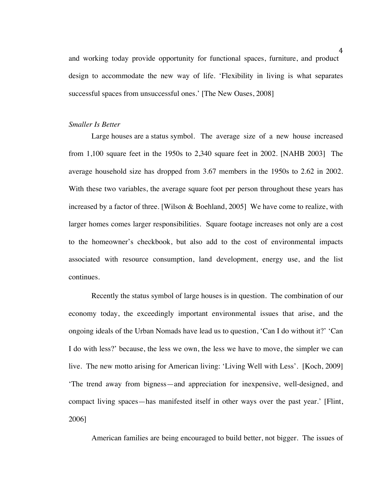and working today provide opportunity for functional spaces, furniture, and product design to accommodate the new way of life. 'Flexibility in living is what separates successful spaces from unsuccessful ones.' [The New Oases, 2008]

#### *Smaller Is Better*

Large houses are a status symbol. The average size of a new house increased from 1,100 square feet in the 1950s to 2,340 square feet in 2002. [NAHB 2003] The average household size has dropped from 3.67 members in the 1950s to 2.62 in 2002. With these two variables, the average square foot per person throughout these years has increased by a factor of three. [Wilson & Boehland, 2005] We have come to realize, with larger homes comes larger responsibilities. Square footage increases not only are a cost to the homeowner's checkbook, but also add to the cost of environmental impacts associated with resource consumption, land development, energy use, and the list continues.

Recently the status symbol of large houses is in question. The combination of our economy today, the exceedingly important environmental issues that arise, and the ongoing ideals of the Urban Nomads have lead us to question, 'Can I do without it?' 'Can I do with less?' because, the less we own, the less we have to move, the simpler we can live. The new motto arising for American living: 'Living Well with Less'. [Koch, 2009] 'The trend away from bigness—and appreciation for inexpensive, well-designed, and compact living spaces—has manifested itself in other ways over the past year.' [Flint, 2006]

American families are being encouraged to build better, not bigger. The issues of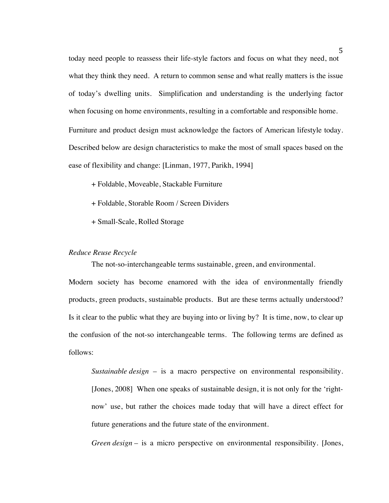today need people to reassess their life-style factors and focus on what they need, not what they think they need. A return to common sense and what really matters is the issue of today's dwelling units. Simplification and understanding is the underlying factor when focusing on home environments, resulting in a comfortable and responsible home. Furniture and product design must acknowledge the factors of American lifestyle today. Described below are design characteristics to make the most of small spaces based on the ease of flexibility and change: [Linman, 1977, Parikh, 1994]

- + Foldable, Moveable, Stackable Furniture
- + Foldable, Storable Room / Screen Dividers
- + Small-Scale, Rolled Storage

# *Reduce Reuse Recycle*

The not-so-interchangeable terms sustainable, green, and environmental.

Modern society has become enamored with the idea of environmentally friendly products, green products, sustainable products. But are these terms actually understood? Is it clear to the public what they are buying into or living by? It is time, now, to clear up the confusion of the not-so interchangeable terms. The following terms are defined as follows:

*Sustainable design* – is a macro perspective on environmental responsibility. [Jones, 2008] When one speaks of sustainable design, it is not only for the 'rightnow' use, but rather the choices made today that will have a direct effect for future generations and the future state of the environment.

*Green design* – is a micro perspective on environmental responsibility. [Jones,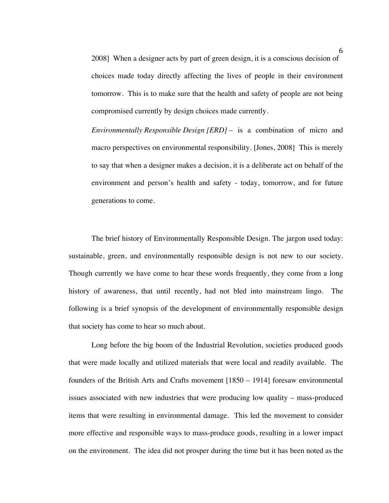2008] When a designer acts by part of green design, it is a conscious decision of choices made today directly affecting the lives of people in their environment tomorrow. This is to make sure that the health and safety of people are not being compromised currently by design choices made currently.

*Environmentally Responsible Design [ERD]* – is a combination of micro and macro perspectives on environmental responsibility. [Jones, 2008] This is merely to say that when a designer makes a decision, it is a deliberate act on behalf of the environment and person's health and safety - today, tomorrow, and for future generations to come.

The brief history of Environmentally Responsible Design. The jargon used today: sustainable, green, and environmentally responsible design is not new to our society. Though currently we have come to hear these words frequently, they come from a long history of awareness, that until recently, had not bled into mainstream lingo. The following is a brief synopsis of the development of environmentally responsible design that society has come to hear so much about.

Long before the big boom of the Industrial Revolution, societies produced goods that were made locally and utilized materials that were local and readily available. The founders of the British Arts and Crafts movement [1850 – 1914] foresaw environmental issues associated with new industries that were producing low quality – mass-produced items that were resulting in environmental damage. This led the movement to consider more effective and responsible ways to mass-produce goods, resulting in a lower impact on the environment. The idea did not prosper during the time but it has been noted as the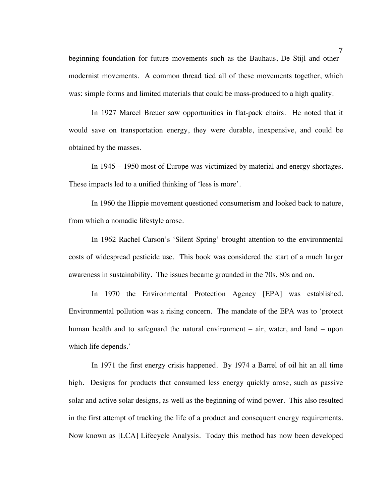beginning foundation for future movements such as the Bauhaus, De Stijl and other modernist movements. A common thread tied all of these movements together, which was: simple forms and limited materials that could be mass-produced to a high quality.

In 1927 Marcel Breuer saw opportunities in flat-pack chairs. He noted that it would save on transportation energy, they were durable, inexpensive, and could be obtained by the masses.

In 1945 – 1950 most of Europe was victimized by material and energy shortages. These impacts led to a unified thinking of 'less is more'.

In 1960 the Hippie movement questioned consumerism and looked back to nature, from which a nomadic lifestyle arose.

In 1962 Rachel Carson's 'Silent Spring' brought attention to the environmental costs of widespread pesticide use. This book was considered the start of a much larger awareness in sustainability. The issues became grounded in the 70s, 80s and on.

In 1970 the Environmental Protection Agency [EPA] was established. Environmental pollution was a rising concern. The mandate of the EPA was to 'protect human health and to safeguard the natural environment – air, water, and land – upon which life depends.'

In 1971 the first energy crisis happened. By 1974 a Barrel of oil hit an all time high. Designs for products that consumed less energy quickly arose, such as passive solar and active solar designs, as well as the beginning of wind power. This also resulted in the first attempt of tracking the life of a product and consequent energy requirements. Now known as [LCA] Lifecycle Analysis. Today this method has now been developed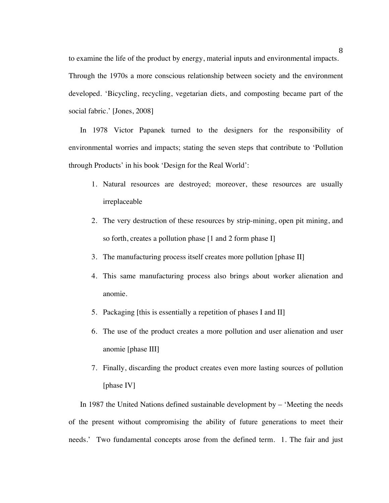to examine the life of the product by energy, material inputs and environmental impacts. Through the 1970s a more conscious relationship between society and the environment developed. 'Bicycling, recycling, vegetarian diets, and composting became part of the social fabric.' [Jones, 2008]

In 1978 Victor Papanek turned to the designers for the responsibility of environmental worries and impacts; stating the seven steps that contribute to 'Pollution through Products' in his book 'Design for the Real World':

- 1. Natural resources are destroyed; moreover, these resources are usually irreplaceable
- 2. The very destruction of these resources by strip-mining, open pit mining, and so forth, creates a pollution phase [1 and 2 form phase I]
- 3. The manufacturing process itself creates more pollution [phase II]
- 4. This same manufacturing process also brings about worker alienation and anomie.
- 5. Packaging [this is essentially a repetition of phases I and II]
- 6. The use of the product creates a more pollution and user alienation and user anomie [phase III]
- 7. Finally, discarding the product creates even more lasting sources of pollution [phase IV]

In 1987 the United Nations defined sustainable development by – 'Meeting the needs of the present without compromising the ability of future generations to meet their needs.' Two fundamental concepts arose from the defined term. 1. The fair and just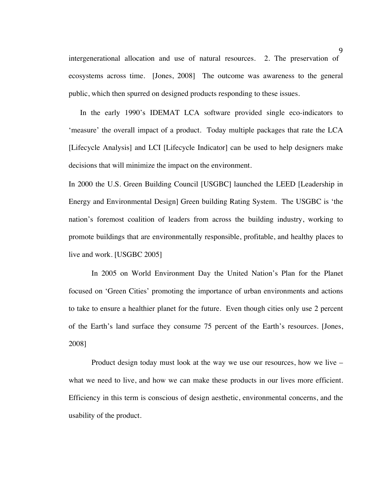intergenerational allocation and use of natural resources. 2. The preservation of ecosystems across time. [Jones, 2008] The outcome was awareness to the general public, which then spurred on designed products responding to these issues.

In the early 1990's IDEMAT LCA software provided single eco-indicators to 'measure' the overall impact of a product. Today multiple packages that rate the LCA [Lifecycle Analysis] and LCI [Lifecycle Indicator] can be used to help designers make decisions that will minimize the impact on the environment.

In 2000 the U.S. Green Building Council [USGBC] launched the LEED [Leadership in Energy and Environmental Design] Green building Rating System. The USGBC is 'the nation's foremost coalition of leaders from across the building industry, working to promote buildings that are environmentally responsible, profitable, and healthy places to live and work. [USGBC 2005]

In 2005 on World Environment Day the United Nation's Plan for the Planet focused on 'Green Cities' promoting the importance of urban environments and actions to take to ensure a healthier planet for the future. Even though cities only use 2 percent of the Earth's land surface they consume 75 percent of the Earth's resources. [Jones, 2008]

Product design today must look at the way we use our resources, how we live – what we need to live, and how we can make these products in our lives more efficient. Efficiency in this term is conscious of design aesthetic, environmental concerns, and the usability of the product.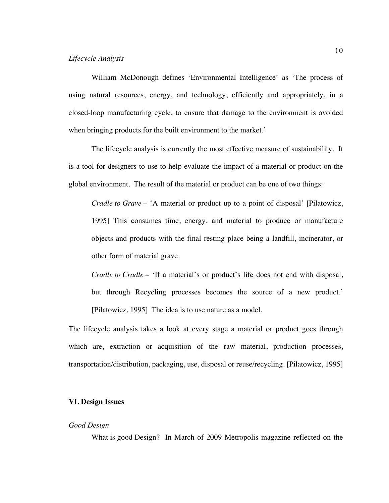#### *Lifecycle Analysis*

William McDonough defines 'Environmental Intelligence' as 'The process of using natural resources, energy, and technology, efficiently and appropriately, in a closed-loop manufacturing cycle, to ensure that damage to the environment is avoided when bringing products for the built environment to the market.'

The lifecycle analysis is currently the most effective measure of sustainability. It is a tool for designers to use to help evaluate the impact of a material or product on the global environment. The result of the material or product can be one of two things:

*Cradle to Grave –* 'A material or product up to a point of disposal' [Pilatowicz, 1995] This consumes time, energy, and material to produce or manufacture objects and products with the final resting place being a landfill, incinerator, or other form of material grave.

*Cradle to Cradle* – 'If a material's or product's life does not end with disposal, but through Recycling processes becomes the source of a new product.' [Pilatowicz, 1995] The idea is to use nature as a model.

The lifecycle analysis takes a look at every stage a material or product goes through which are, extraction or acquisition of the raw material, production processes, transportation/distribution, packaging, use, disposal or reuse/recycling. [Pilatowicz, 1995]

# **VI. Design Issues**

# *Good Design*

What is good Design? In March of 2009 Metropolis magazine reflected on the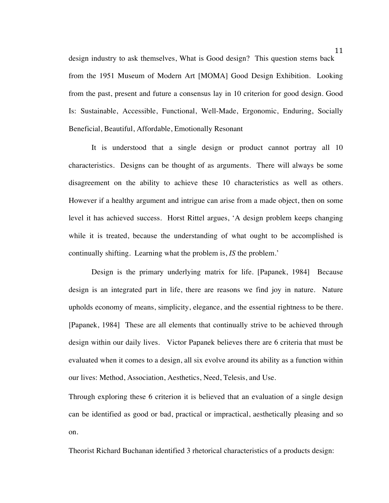design industry to ask themselves, What is Good design? This question stems back from the 1951 Museum of Modern Art [MOMA] Good Design Exhibition. Looking from the past, present and future a consensus lay in 10 criterion for good design. Good Is: Sustainable, Accessible, Functional, Well-Made, Ergonomic, Enduring, Socially Beneficial, Beautiful, Affordable, Emotionally Resonant

It is understood that a single design or product cannot portray all 10 characteristics. Designs can be thought of as arguments. There will always be some disagreement on the ability to achieve these 10 characteristics as well as others. However if a healthy argument and intrigue can arise from a made object, then on some level it has achieved success. Horst Rittel argues, 'A design problem keeps changing while it is treated, because the understanding of what ought to be accomplished is continually shifting. Learning what the problem is, *IS* the problem.'

Design is the primary underlying matrix for life. [Papanek, 1984] Because design is an integrated part in life, there are reasons we find joy in nature. Nature upholds economy of means, simplicity, elegance, and the essential rightness to be there. [Papanek, 1984] These are all elements that continually strive to be achieved through design within our daily lives. Victor Papanek believes there are 6 criteria that must be evaluated when it comes to a design, all six evolve around its ability as a function within our lives: Method, Association, Aesthetics, Need, Telesis, and Use.

Through exploring these 6 criterion it is believed that an evaluation of a single design can be identified as good or bad, practical or impractical, aesthetically pleasing and so on.

Theorist Richard Buchanan identified 3 rhetorical characteristics of a products design: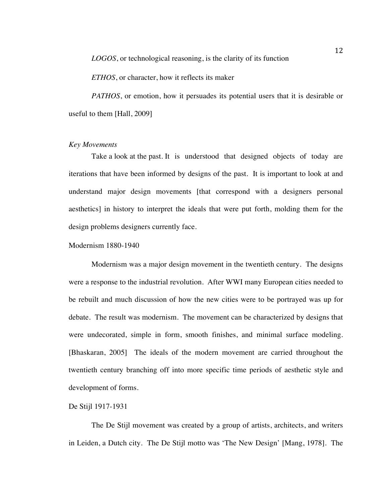*LOGOS*, or technological reasoning, is the clarity of its function

*ETHOS*, or character, how it reflects its maker

*PATHOS*, or emotion, how it persuades its potential users that it is desirable or useful to them [Hall, 2009]

# *Key Movements*

Take a look at the past. It is understood that designed objects of today are iterations that have been informed by designs of the past. It is important to look at and understand major design movements [that correspond with a designers personal aesthetics] in history to interpret the ideals that were put forth, molding them for the design problems designers currently face.

# Modernism 1880-1940

Modernism was a major design movement in the twentieth century. The designs were a response to the industrial revolution. After WWI many European cities needed to be rebuilt and much discussion of how the new cities were to be portrayed was up for debate. The result was modernism. The movement can be characterized by designs that were undecorated, simple in form, smooth finishes, and minimal surface modeling. [Bhaskaran, 2005] The ideals of the modern movement are carried throughout the twentieth century branching off into more specific time periods of aesthetic style and development of forms.

## De Stijl 1917-1931

The De Stijl movement was created by a group of artists, architects, and writers in Leiden, a Dutch city. The De Stijl motto was 'The New Design' [Mang, 1978]. The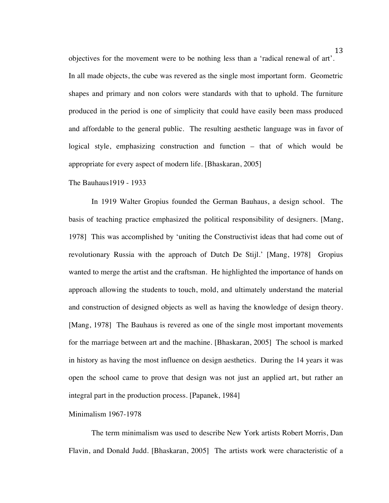objectives for the movement were to be nothing less than a 'radical renewal of art'. In all made objects, the cube was revered as the single most important form. Geometric shapes and primary and non colors were standards with that to uphold. The furniture produced in the period is one of simplicity that could have easily been mass produced and affordable to the general public. The resulting aesthetic language was in favor of logical style, emphasizing construction and function – that of which would be appropriate for every aspect of modern life. [Bhaskaran, 2005]

The Bauhaus1919 - 1933

In 1919 Walter Gropius founded the German Bauhaus, a design school. The basis of teaching practice emphasized the political responsibility of designers. [Mang, 1978] This was accomplished by 'uniting the Constructivist ideas that had come out of revolutionary Russia with the approach of Dutch De Stijl.' [Mang, 1978] Gropius wanted to merge the artist and the craftsman. He highlighted the importance of hands on approach allowing the students to touch, mold, and ultimately understand the material and construction of designed objects as well as having the knowledge of design theory. [Mang, 1978] The Bauhaus is revered as one of the single most important movements for the marriage between art and the machine. [Bhaskaran, 2005] The school is marked in history as having the most influence on design aesthetics. During the 14 years it was open the school came to prove that design was not just an applied art, but rather an integral part in the production process. [Papanek, 1984]

## Minimalism 1967-1978

The term minimalism was used to describe New York artists Robert Morris, Dan Flavin, and Donald Judd. [Bhaskaran, 2005] The artists work were characteristic of a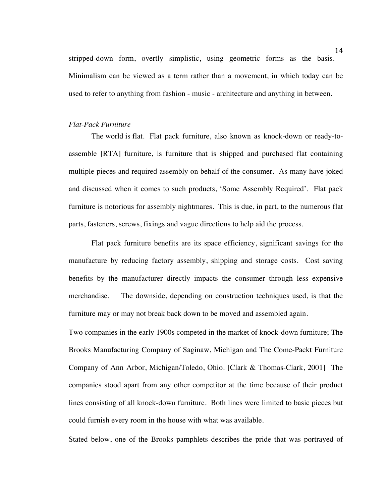stripped-down form, overtly simplistic, using geometric forms as the basis. Minimalism can be viewed as a term rather than a movement, in which today can be used to refer to anything from fashion - music - architecture and anything in between.

### *Flat-Pack Furniture*

The world is flat. Flat pack furniture, also known as knock-down or ready-toassemble [RTA] furniture, is furniture that is shipped and purchased flat containing multiple pieces and required assembly on behalf of the consumer. As many have joked and discussed when it comes to such products, 'Some Assembly Required'. Flat pack furniture is notorious for assembly nightmares. This is due, in part, to the numerous flat parts, fasteners, screws, fixings and vague directions to help aid the process.

Flat pack furniture benefits are its space efficiency, significant savings for the manufacture by reducing factory assembly, shipping and storage costs. Cost saving benefits by the manufacturer directly impacts the consumer through less expensive merchandise. The downside, depending on construction techniques used, is that the furniture may or may not break back down to be moved and assembled again.

Two companies in the early 1900s competed in the market of knock-down furniture; The Brooks Manufacturing Company of Saginaw, Michigan and The Come-Packt Furniture Company of Ann Arbor, Michigan/Toledo, Ohio. [Clark & Thomas-Clark, 2001] The companies stood apart from any other competitor at the time because of their product lines consisting of all knock-down furniture. Both lines were limited to basic pieces but could furnish every room in the house with what was available.

Stated below, one of the Brooks pamphlets describes the pride that was portrayed of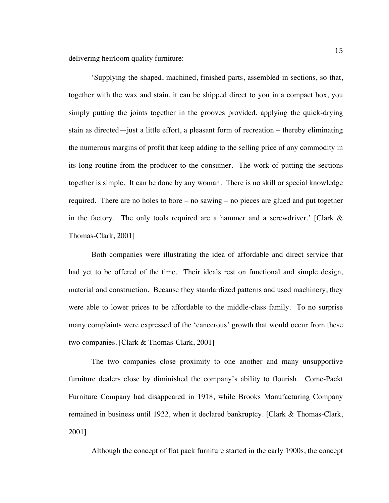delivering heirloom quality furniture:

'Supplying the shaped, machined, finished parts, assembled in sections, so that, together with the wax and stain, it can be shipped direct to you in a compact box, you simply putting the joints together in the grooves provided, applying the quick-drying stain as directed—just a little effort, a pleasant form of recreation – thereby eliminating the numerous margins of profit that keep adding to the selling price of any commodity in its long routine from the producer to the consumer. The work of putting the sections together is simple. It can be done by any woman. There is no skill or special knowledge required. There are no holes to bore – no sawing – no pieces are glued and put together in the factory. The only tools required are a hammer and a screwdriver.' [Clark & Thomas-Clark, 2001]

Both companies were illustrating the idea of affordable and direct service that had yet to be offered of the time. Their ideals rest on functional and simple design, material and construction. Because they standardized patterns and used machinery, they were able to lower prices to be affordable to the middle-class family. To no surprise many complaints were expressed of the 'cancerous' growth that would occur from these two companies. [Clark & Thomas-Clark, 2001]

The two companies close proximity to one another and many unsupportive furniture dealers close by diminished the company's ability to flourish. Come-Packt Furniture Company had disappeared in 1918, while Brooks Manufacturing Company remained in business until 1922, when it declared bankruptcy. [Clark & Thomas-Clark, 2001]

Although the concept of flat pack furniture started in the early 1900s, the concept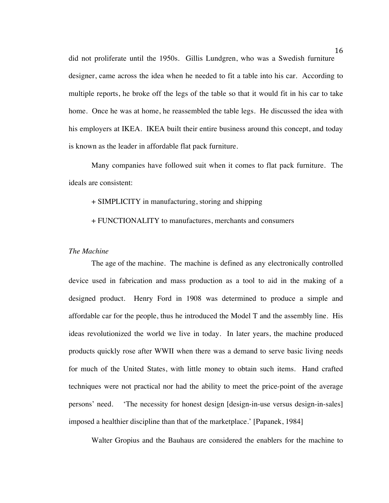did not proliferate until the 1950s. Gillis Lundgren, who was a Swedish furniture designer, came across the idea when he needed to fit a table into his car. According to multiple reports, he broke off the legs of the table so that it would fit in his car to take home. Once he was at home, he reassembled the table legs. He discussed the idea with his employers at IKEA. IKEA built their entire business around this concept, and today is known as the leader in affordable flat pack furniture.

Many companies have followed suit when it comes to flat pack furniture. The ideals are consistent:

#### + SIMPLICITY in manufacturing, storing and shipping

+ FUNCTIONALITY to manufactures, merchants and consumers

#### *The Machine*

The age of the machine. The machine is defined as any electronically controlled device used in fabrication and mass production as a tool to aid in the making of a designed product. Henry Ford in 1908 was determined to produce a simple and affordable car for the people, thus he introduced the Model T and the assembly line. His ideas revolutionized the world we live in today. In later years, the machine produced products quickly rose after WWII when there was a demand to serve basic living needs for much of the United States, with little money to obtain such items. Hand crafted techniques were not practical nor had the ability to meet the price-point of the average persons' need. 'The necessity for honest design [design-in-use versus design-in-sales] imposed a healthier discipline than that of the marketplace.' [Papanek, 1984]

Walter Gropius and the Bauhaus are considered the enablers for the machine to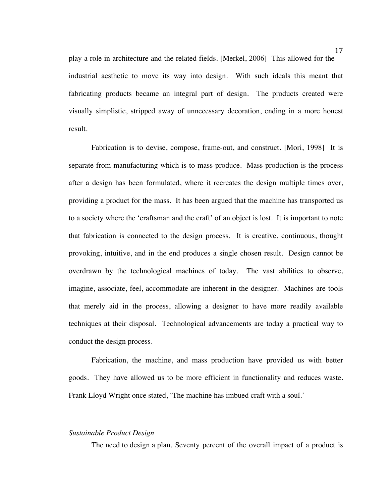play a role in architecture and the related fields. [Merkel, 2006] This allowed for the industrial aesthetic to move its way into design. With such ideals this meant that fabricating products became an integral part of design. The products created were visually simplistic, stripped away of unnecessary decoration, ending in a more honest result.

Fabrication is to devise, compose, frame-out, and construct. [Mori, 1998] It is separate from manufacturing which is to mass-produce. Mass production is the process after a design has been formulated, where it recreates the design multiple times over, providing a product for the mass. It has been argued that the machine has transported us to a society where the 'craftsman and the craft' of an object is lost. It is important to note that fabrication is connected to the design process. It is creative, continuous, thought provoking, intuitive, and in the end produces a single chosen result. Design cannot be overdrawn by the technological machines of today. The vast abilities to observe, imagine, associate, feel, accommodate are inherent in the designer. Machines are tools that merely aid in the process, allowing a designer to have more readily available techniques at their disposal. Technological advancements are today a practical way to conduct the design process.

Fabrication, the machine, and mass production have provided us with better goods. They have allowed us to be more efficient in functionality and reduces waste. Frank Lloyd Wright once stated, 'The machine has imbued craft with a soul.'

# *Sustainable Product Design*

The need to design a plan. Seventy percent of the overall impact of a product is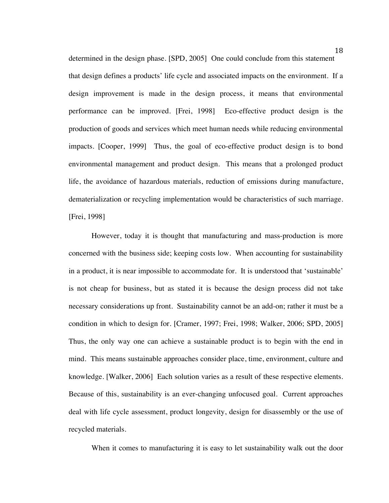determined in the design phase. [SPD, 2005] One could conclude from this statement that design defines a products' life cycle and associated impacts on the environment. If a design improvement is made in the design process, it means that environmental performance can be improved. [Frei, 1998] Eco-effective product design is the production of goods and services which meet human needs while reducing environmental impacts. [Cooper, 1999] Thus, the goal of eco-effective product design is to bond environmental management and product design. This means that a prolonged product life, the avoidance of hazardous materials, reduction of emissions during manufacture, dematerialization or recycling implementation would be characteristics of such marriage. [Frei, 1998]

However, today it is thought that manufacturing and mass-production is more concerned with the business side; keeping costs low. When accounting for sustainability in a product, it is near impossible to accommodate for. It is understood that 'sustainable' is not cheap for business, but as stated it is because the design process did not take necessary considerations up front. Sustainability cannot be an add-on; rather it must be a condition in which to design for. [Cramer, 1997; Frei, 1998; Walker, 2006; SPD, 2005] Thus, the only way one can achieve a sustainable product is to begin with the end in mind. This means sustainable approaches consider place, time, environment, culture and knowledge. [Walker, 2006] Each solution varies as a result of these respective elements. Because of this, sustainability is an ever-changing unfocused goal. Current approaches deal with life cycle assessment, product longevity, design for disassembly or the use of recycled materials.

When it comes to manufacturing it is easy to let sustainability walk out the door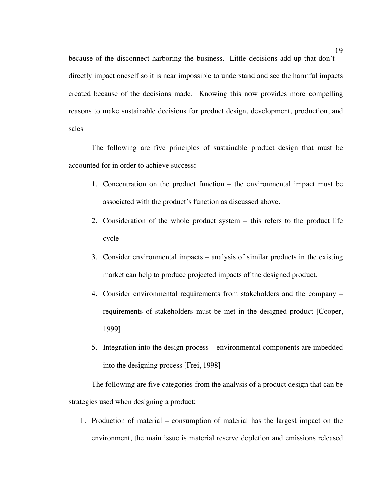because of the disconnect harboring the business. Little decisions add up that don't directly impact oneself so it is near impossible to understand and see the harmful impacts created because of the decisions made. Knowing this now provides more compelling reasons to make sustainable decisions for product design, development, production, and sales

The following are five principles of sustainable product design that must be accounted for in order to achieve success:

- 1. Concentration on the product function the environmental impact must be associated with the product's function as discussed above.
- 2. Consideration of the whole product system this refers to the product life cycle
- 3. Consider environmental impacts analysis of similar products in the existing market can help to produce projected impacts of the designed product.
- 4. Consider environmental requirements from stakeholders and the company requirements of stakeholders must be met in the designed product [Cooper, 1999]
- 5. Integration into the design process environmental components are imbedded into the designing process [Frei, 1998]

The following are five categories from the analysis of a product design that can be strategies used when designing a product:

1. Production of material – consumption of material has the largest impact on the environment, the main issue is material reserve depletion and emissions released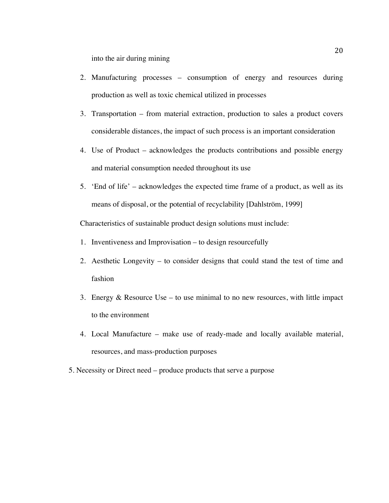into the air during mining

- 2. Manufacturing processes consumption of energy and resources during production as well as toxic chemical utilized in processes
- 3. Transportation from material extraction, production to sales a product covers considerable distances, the impact of such process is an important consideration
- 4. Use of Product acknowledges the products contributions and possible energy and material consumption needed throughout its use
- 5. 'End of life' acknowledges the expected time frame of a product, as well as its means of disposal, or the potential of recyclability [Dahlström, 1999]

Characteristics of sustainable product design solutions must include:

- 1. Inventiveness and Improvisation to design resourcefully
- 2. Aesthetic Longevity to consider designs that could stand the test of time and fashion
- 3. Energy & Resource Use to use minimal to no new resources, with little impact to the environment
- 4. Local Manufacture make use of ready-made and locally available material, resources, and mass-production purposes
- 5. Necessity or Direct need produce products that serve a purpose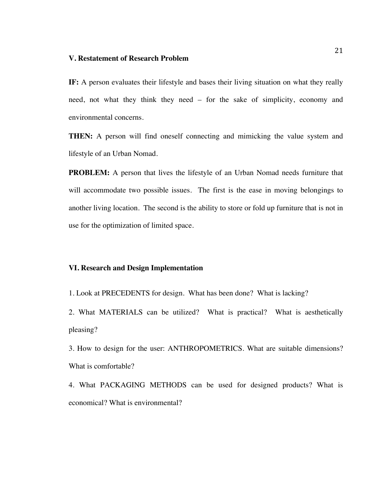#### **V. Restatement of Research Problem**

**IF:** A person evaluates their lifestyle and bases their living situation on what they really need, not what they think they need – for the sake of simplicity, economy and environmental concerns.

**THEN:** A person will find oneself connecting and mimicking the value system and lifestyle of an Urban Nomad.

**PROBLEM:** A person that lives the lifestyle of an Urban Nomad needs furniture that will accommodate two possible issues. The first is the ease in moving belongings to another living location. The second is the ability to store or fold up furniture that is not in use for the optimization of limited space.

#### **VI. Research and Design Implementation**

1. Look at PRECEDENTS for design. What has been done? What is lacking?

2. What MATERIALS can be utilized? What is practical? What is aesthetically pleasing?

3. How to design for the user: ANTHROPOMETRICS. What are suitable dimensions? What is comfortable?

4. What PACKAGING METHODS can be used for designed products? What is economical? What is environmental?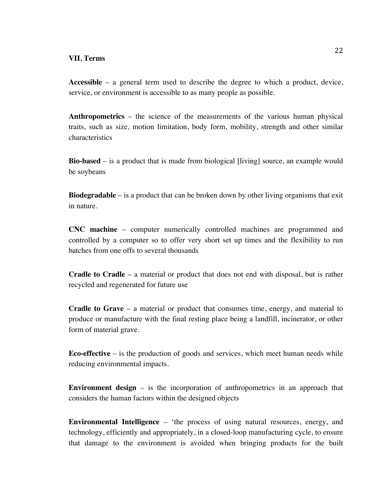#### **VII. Terms**

**Accessible** – a general term used to describe the degree to which a product, device, service, or environment is accessible to as many people as possible.

**Anthropometrics** – the science of the measurements of the various human physical traits, such as size, motion limitation, body form, mobility, strength and other similar characteristics

**Bio-based** – is a product that is made from biological [living] source, an example would be soybeans

**Biodegradable** – is a product that can be broken down by other living organisms that exit in nature.

**CNC machine** – computer numerically controlled machines are programmed and controlled by a computer so to offer very short set up times and the flexibility to run batches from one offs to several thousands

**Cradle to Cradle** – a material or product that does not end with disposal, but is rather recycled and regenerated for future use

**Cradle to Grave** – a material or product that consumes time, energy, and material to produce or manufacture with the final resting place being a landfill, incinerator, or other form of material grave.

**Eco-effective** – is the production of goods and services, which meet human needs while reducing environmental impacts.

**Environment design** – is the incorporation of anthropometrics in an approach that considers the human factors within the designed objects

**Environmental Intelligence** – 'the process of using natural resources, energy, and technology, efficiently and appropriately, in a closed-loop manufacturing cycle, to ensure that damage to the environment is avoided when bringing products for the built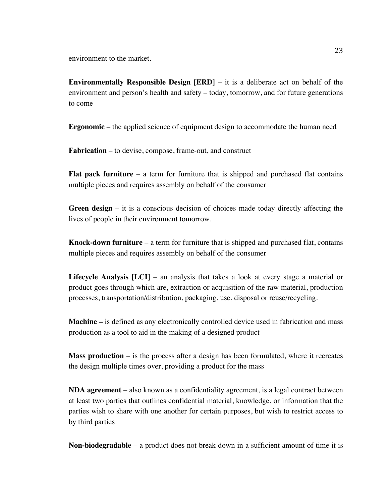environment to the market.

**Environmentally Responsible Design [ERD]** – it is a deliberate act on behalf of the environment and person's health and safety – today, tomorrow, and for future generations to come

**Ergonomic** – the applied science of equipment design to accommodate the human need

**Fabrication** – to devise, compose, frame-out, and construct

**Flat pack furniture** – a term for furniture that is shipped and purchased flat contains multiple pieces and requires assembly on behalf of the consumer

**Green design** – it is a conscious decision of choices made today directly affecting the lives of people in their environment tomorrow.

**Knock-down furniture** – a term for furniture that is shipped and purchased flat, contains multiple pieces and requires assembly on behalf of the consumer

**Lifecycle Analysis [LCI]** – an analysis that takes a look at every stage a material or product goes through which are, extraction or acquisition of the raw material, production processes, transportation/distribution, packaging, use, disposal or reuse/recycling.

**Machine –** is defined as any electronically controlled device used in fabrication and mass production as a tool to aid in the making of a designed product

**Mass production** – is the process after a design has been formulated, where it recreates the design multiple times over, providing a product for the mass

**NDA agreement** – also known as a confidentiality agreement, is a legal contract between at least two parties that outlines confidential material, knowledge, or information that the parties wish to share with one another for certain purposes, but wish to restrict access to by third parties

**Non-biodegradable** – a product does not break down in a sufficient amount of time it is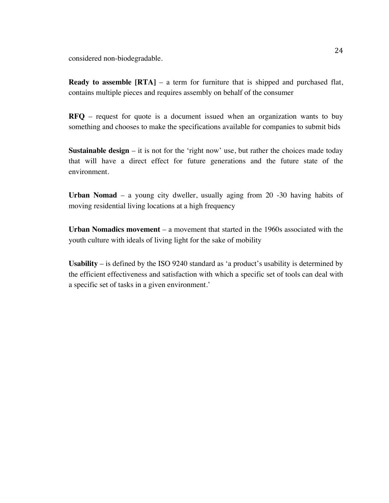considered non-biodegradable.

**Ready to assemble [RTA]** – a term for furniture that is shipped and purchased flat, contains multiple pieces and requires assembly on behalf of the consumer

**RFQ** – request for quote is a document issued when an organization wants to buy something and chooses to make the specifications available for companies to submit bids

**Sustainable design** – it is not for the 'right now' use, but rather the choices made today that will have a direct effect for future generations and the future state of the environment.

**Urban Nomad** – a young city dweller, usually aging from 20 -30 having habits of moving residential living locations at a high frequency

**Urban Nomadics movement** – a movement that started in the 1960s associated with the youth culture with ideals of living light for the sake of mobility

**Usability** – is defined by the ISO 9240 standard as 'a product's usability is determined by the efficient effectiveness and satisfaction with which a specific set of tools can deal with a specific set of tasks in a given environment.'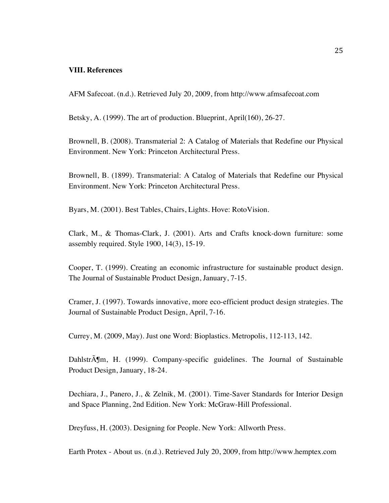## **VIII. References**

AFM Safecoat. (n.d.). Retrieved July 20, 2009, from http://www.afmsafecoat.com

Betsky, A. (1999). The art of production. Blueprint, April(160), 26-27.

Brownell, B. (2008). Transmaterial 2: A Catalog of Materials that Redefine our Physical Environment. New York: Princeton Architectural Press.

Brownell, B. (1899). Transmaterial: A Catalog of Materials that Redefine our Physical Environment. New York: Princeton Architectural Press.

Byars, M. (2001). Best Tables, Chairs, Lights. Hove: RotoVision.

Clark, M., & Thomas-Clark, J. (2001). Arts and Crafts knock-down furniture: some assembly required. Style 1900, 14(3), 15-19.

Cooper, T. (1999). Creating an economic infrastructure for sustainable product design. The Journal of Sustainable Product Design, January, 7-15.

Cramer, J. (1997). Towards innovative, more eco-efficient product design strategies. The Journal of Sustainable Product Design, April, 7-16.

Currey, M. (2009, May). Just one Word: Bioplastics. Metropolis, 112-113, 142.

Dahlstr $\tilde{A}$ Im, H. (1999). Company-specific guidelines. The Journal of Sustainable Product Design, January, 18-24.

Dechiara, J., Panero, J., & Zelnik, M. (2001). Time-Saver Standards for Interior Design and Space Planning, 2nd Edition. New York: McGraw-Hill Professional.

Dreyfuss, H. (2003). Designing for People. New York: Allworth Press.

Earth Protex - About us. (n.d.). Retrieved July 20, 2009, from http://www.hemptex.com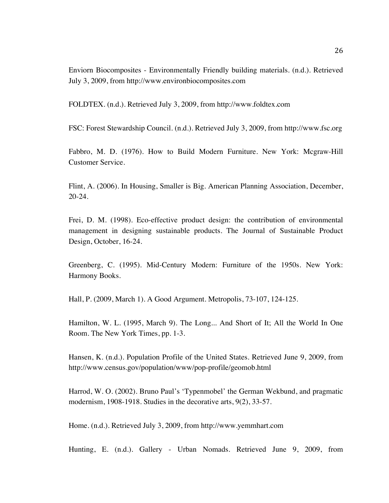Enviorn Biocomposites - Environmentally Friendly building materials. (n.d.). Retrieved July 3, 2009, from http://www.environbiocomposites.com

FOLDTEX. (n.d.). Retrieved July 3, 2009, from http://www.foldtex.com

FSC: Forest Stewardship Council. (n.d.). Retrieved July 3, 2009, from http://www.fsc.org

Fabbro, M. D. (1976). How to Build Modern Furniture. New York: Mcgraw-Hill Customer Service.

Flint, A. (2006). In Housing, Smaller is Big. American Planning Association, December, 20-24.

Frei, D. M. (1998). Eco-effective product design: the contribution of environmental management in designing sustainable products. The Journal of Sustainable Product Design, October, 16-24.

Greenberg, C. (1995). Mid-Century Modern: Furniture of the 1950s. New York: Harmony Books.

Hall, P. (2009, March 1). A Good Argument. Metropolis, 73-107, 124-125.

Hamilton, W. L. (1995, March 9). The Long... And Short of It; All the World In One Room. The New York Times, pp. 1-3.

Hansen, K. (n.d.). Population Profile of the United States. Retrieved June 9, 2009, from http://www.census.gov/population/www/pop-profile/geomob.html

Harrod, W. O. (2002). Bruno Paul's 'Typenmobel' the German Wekbund, and pragmatic modernism, 1908-1918. Studies in the decorative arts, 9(2), 33-57.

Home. (n.d.). Retrieved July 3, 2009, from http://www.yemmhart.com

Hunting, E. (n.d.). Gallery - Urban Nomads. Retrieved June 9, 2009, from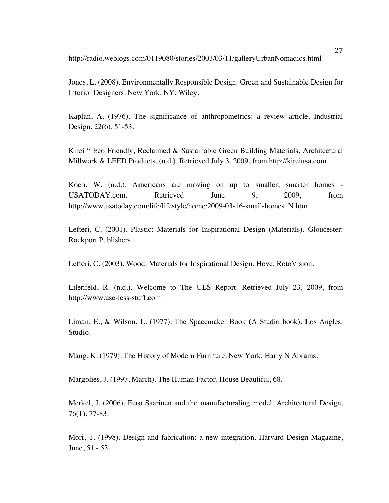http://radio.weblogs.com/0119080/stories/2003/03/11/galleryUrbanNomadics.html

Jones, L. (2008). Environmentally Responsible Design: Green and Sustainable Design for Interior Designers. New York, NY: Wiley.

Kaplan, A. (1976). The significance of anthropometrics: a review article. Industrial Design, 22(6), 51-53.

Kirei " Eco Friendly, Reclaimed & Sustainable Green Building Materials, Architectural Millwork & LEED Products. (n.d.). Retrieved July 3, 2009, from http://kireiusa.com

Koch, W. (n.d.). Americans are moving on up to smaller, smarter homes - USATODAY.com. Retrieved June 9, 2009, from http://www.usatoday.com/life/lifestyle/home/2009-03-16-small-homes\_N.htm

Lefteri, C. (2001). Plastic: Materials for Inspirational Design (Materials). Gloucester: Rockport Publishers.

Lefteri, C. (2003). Wood: Materials for Inspirational Design. Hove: RotoVision.

Lilenfeld, R. (n.d.). Welcome to The ULS Report. Retrieved July 23, 2009, from http://www.use-less-stuff.com

Liman, E., & Wilson, L. (1977). The Spacemaker Book (A Studio book). Los Angles: Studio.

Mang, K. (1979). The History of Modern Furniture. New York: Harry N Abrams.

Margolies, J. (1997, March). The Human Factor. House Beautiful, 68.

Merkel, J. (2006). Eero Saarinen and the manufacturaling model. Architectural Design, 76(1), 77-83.

Mori, T. (1998). Design and fabrication: a new integration. Harvard Design Magazine, June, 51 - 53.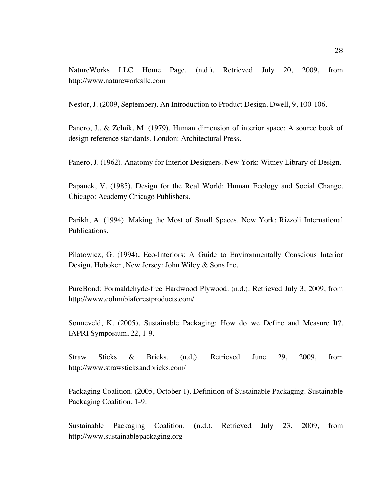NatureWorks LLC Home Page. (n.d.). Retrieved July 20, 2009, from http://www.natureworksllc.com

Nestor, J. (2009, September). An Introduction to Product Design. Dwell, 9, 100-106.

Panero, J., & Zelnik, M. (1979). Human dimension of interior space: A source book of design reference standards. London: Architectural Press.

Panero, J. (1962). Anatomy for Interior Designers. New York: Witney Library of Design.

Papanek, V. (1985). Design for the Real World: Human Ecology and Social Change. Chicago: Academy Chicago Publishers.

Parikh, A. (1994). Making the Most of Small Spaces. New York: Rizzoli International Publications.

Pilatowicz, G. (1994). Eco-Interiors: A Guide to Environmentally Conscious Interior Design. Hoboken, New Jersey: John Wiley & Sons Inc.

PureBond: Formaldehyde-free Hardwood Plywood. (n.d.). Retrieved July 3, 2009, from http://www.columbiaforestproducts.com/

Sonneveld, K. (2005). Sustainable Packaging: How do we Define and Measure It?. IAPRI Symposium, 22, 1-9.

Straw Sticks & Bricks. (n.d.). Retrieved June 29, 2009, from http://www.strawsticksandbricks.com/

Packaging Coalition. (2005, October 1). Definition of Sustainable Packaging. Sustainable Packaging Coalition, 1-9.

Sustainable Packaging Coalition. (n.d.). Retrieved July 23, 2009, from http://www.sustainablepackaging.org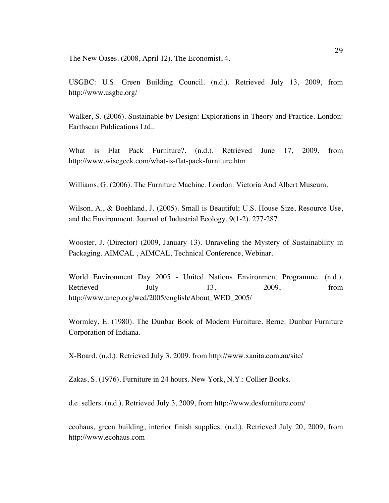The New Oases. (2008, April 12). The Economist, 4.

USGBC: U.S. Green Building Council. (n.d.). Retrieved July 13, 2009, from http://www.usgbc.org/

Walker, S. (2006). Sustainable by Design: Explorations in Theory and Practice. London: Earthscan Publications Ltd..

What is Flat Pack Furniture?. (n.d.). Retrieved June 17, 2009, from http://www.wisegeek.com/what-is-flat-pack-furniture.htm

Williams, G. (2006). The Furniture Machine. London: Victoria And Albert Museum.

Wilson, A., & Boehland, J. (2005). Small is Beautiful; U.S. House Size, Resource Use, and the Environment. Journal of Industrial Ecology, 9(1-2), 277-287.

Wooster, J. (Director) (2009, January 13). Unraveling the Mystery of Sustainability in Packaging. AIMCAL , AIMCAL, Technical Conference, Webinar.

World Environment Day 2005 - United Nations Environment Programme. (n.d.). Retrieved July 13, 2009, from http://www.unep.org/wed/2005/english/About\_WED\_2005/

Wormley, E. (1980). The Dunbar Book of Modern Furniture. Berne: Dunbar Furniture Corporation of Indiana.

X-Board. (n.d.). Retrieved July 3, 2009, from http://www.xanita.com.au/site/

Zakas, S. (1976). Furniture in 24 hours. New York, N.Y.: Collier Books.

d.e. sellers. (n.d.). Retrieved July 3, 2009, from http://www.desfurniture.com/

ecohaus, green building, interior finish supplies. (n.d.). Retrieved July 20, 2009, from http://www.ecohaus.com